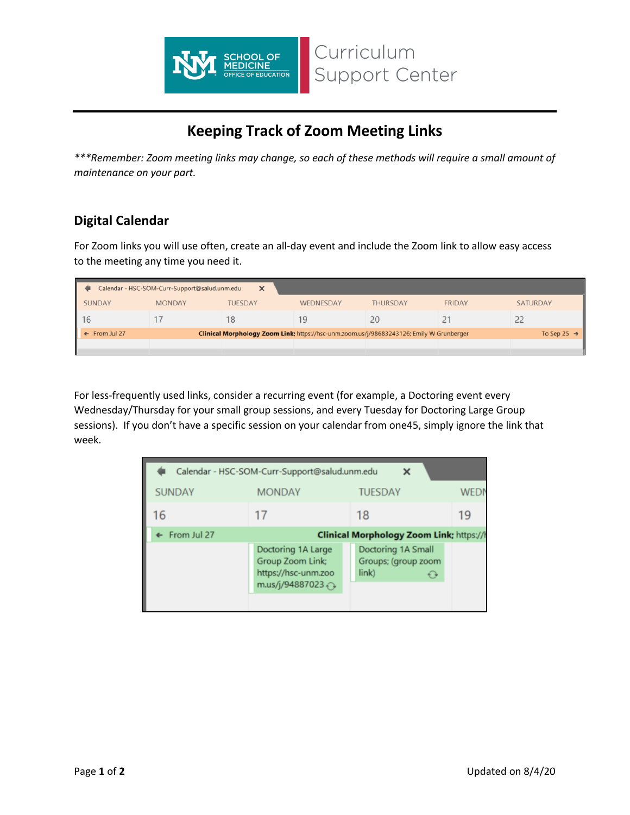

## **Keeping Track of Zoom Meeting Links**

Curriculum

Support Center

*\*\*\*Remember: Zoom meeting links may change, so each of these methods will require a small amount of maintenance on your part.*

## **Digital Calendar**

For Zoom links you will use often, create an all-day event and include the Zoom link to allow easy access to the meeting any time you need it.

| Calendar - HSC-SOM-Curr-Support@salud.unm.edu<br>$\times$                                                                                       |               |                |           |                 |               |                 |  |
|-------------------------------------------------------------------------------------------------------------------------------------------------|---------------|----------------|-----------|-----------------|---------------|-----------------|--|
| <b>SUNDAY</b>                                                                                                                                   | <b>MONDAY</b> | <b>TUESDAY</b> | WEDNESDAY | <b>THURSDAY</b> | <b>FRIDAY</b> | <b>SATURDAY</b> |  |
| l 16                                                                                                                                            |               | 18             |           | 20              |               |                 |  |
| Clinical Morphology Zoom Link; https://hsc-unm.zoom.us/j/98683243126; Emily W Grunberger<br>$\leftarrow$ From Jul 27<br>To Sep 25 $\rightarrow$ |               |                |           |                 |               |                 |  |
|                                                                                                                                                 |               |                |           |                 |               |                 |  |

For less-frequently used links, consider a recurring event (for example, a Doctoring event every Wednesday/Thursday for your small group sessions, and every Tuesday for Doctoring Large Group sessions). If you don't have a specific session on your calendar from one45, simply ignore the link that week.

| Calendar - HSC-SOM-Curr-Support@salud.unm.edu<br>× |                                                                                  |                                                    |            |  |  |  |  |
|----------------------------------------------------|----------------------------------------------------------------------------------|----------------------------------------------------|------------|--|--|--|--|
| <b>SUNDAY</b>                                      | <b>MONDAY</b>                                                                    | <b>TUESDAY</b>                                     | <b>WED</b> |  |  |  |  |
| 16                                                 | 17                                                                               | 18                                                 | 19         |  |  |  |  |
| $\leftarrow$ From Jul 27                           | <b>Clinical Morphology Zoom Link; https://t</b>                                  |                                                    |            |  |  |  |  |
|                                                    | Doctoring 1A Large<br>Group Zoom Link;<br>https://hsc-unm.zoo<br>m.us/j/94887023 | Doctoring 1A Small<br>Groups; (group zoom<br>link) |            |  |  |  |  |